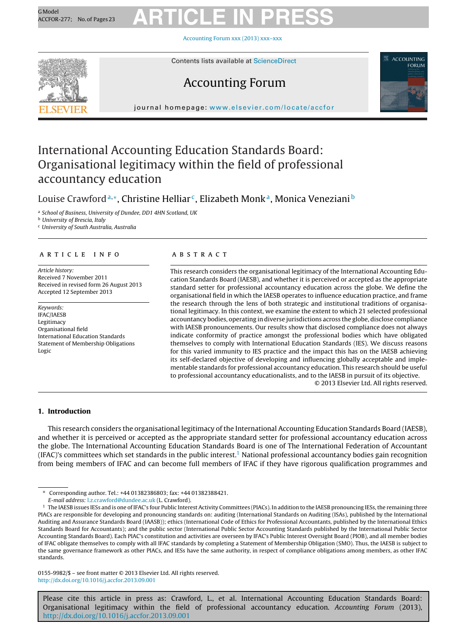# GModel ARTICLE IN PRESS

Accounting Forum [xxx \(2013\) xxx–xxx](dx.doi.org/10.1016/j.accfor.2013.09.001)



Contents lists available at [ScienceDirect](http://www.sciencedirect.com/science/journal/01559982)

## Accounting Forum



journal homepage: [www.elsevier.com/locate/accfor](http://www.elsevier.com/locate/accfor)

### International Accounting Education Standards Board: Organisational legitimacy within the field of professional accountancy education

### Louise Crawford<sup>a,∗</sup>, Christine Helliar<sup>c</sup>, Elizabeth Monk<sup>a</sup>, Monica Veneziani<sup>b</sup>

a School of Business, University of Dundee, DD1 4HN Scotland, UK

**b** University of Brescia, Italy

<sup>c</sup> University of South Australia, Australia

#### a r t i c l e i n f o

Article history: Received 7 November 2011 Received in revised form 26 August 2013 Accepted 12 September 2013

Keywords: IFAC/IAESB Legitimacy Organisational field International Education Standards Statement of Membership Obligations Logic

#### A B S T R A C T

This research considers the organisational legitimacy of the International Accounting Education Standards Board (IAESB), and whether it is perceived or accepted as the appropriate standard setter for professional accountancy education across the globe. We define the organisational field in which the IAESB operates to influence education practice, and frame the research through the lens of both strategic and institutional traditions of organisational legitimacy. In this context, we examine the extent to which 21 selected professional accountancy bodies, operating in diverse jurisdictions across the globe, disclose compliance with IAESB pronouncements. Our results show that disclosed compliance does not always indicate conformity of practice amongst the professional bodies which have obligated themselves to comply with International Education Standards (IES). We discuss reasons for this varied immunity to IES practice and the impact this has on the IAESB achieving its self-declared objective of developing and influencing globally acceptable and implementable standards for professional accountancy education. This research should be useful to professional accountancy educationalists, and to the IAESB in pursuit of its objective.

© 2013 Elsevier Ltd. All rights reserved.

#### **1. Introduction**

This research considers the organisational legitimacy of the International Accounting Education Standards Board (IAESB), and whether it is perceived or accepted as the appropriate standard setter for professional accountancy education across the globe. The International Accounting Education Standards Board is one of The International Federation of Accountant (IFAC)'s committees which set standards in the public interest.<sup>1</sup> National professional accountancy bodies gain recognition from being members of IFAC and can become full members of IFAC if they have rigorous qualification programmes and

0155-9982/\$ – see front matter © 2013 Elsevier Ltd. All rights reserved. [http://dx.doi.org/10.1016/j.accfor.2013.09.001](dx.doi.org/10.1016/j.accfor.2013.09.001)

Please cite this article in press as: Crawford, L., et al. International Accounting Education Standards Board: Organisational legitimacy within the field of professional accountancy education. Accounting Forum (2013), [http://dx.doi.org/10.1016/j.accfor.2013.09.001](dx.doi.org/10.1016/j.accfor.2013.09.001)

<sup>∗</sup> Corresponding author. Tel.: +44 01382386803; fax: +44 01382388421.

E-mail address: [l.z.crawford@dundee.ac.uk](mailto:l.z.crawford@dundee.ac.uk) (L. Crawford).

<sup>&</sup>lt;sup>1</sup> The IAESB issues IESs and is one of IFAC's four Public Interest Activity Committees (PIACs). In addition to the IAESB pronouncing IESs, the remaining three PIACs are responsible for developing and pronouncing standards on: auditing (International Standards on Auditing (ISAs), published by the International Auditing and Assurance Standards Board (IAASB)); ethics (International Code of Ethics for Professional Accountants, published by the International Ethics Standards Board for Accountants); and the public sector (International Public Sector Accounting Standards published by the International Public Sector Accounting Standards Board). Each PIAC's constitution and activities are overseen by IFAC's Public Interest Oversight Board (PIOB), and all member bodies of IFAC obligate themselves to comply with all IFAC standards by completing a Statement of Membership Obligation (SMO). Thus, the IAESB is subject to the same governance framework as other PIACs, and IESs have the same authority, in respect of compliance obligations among members, as other IFAC standards.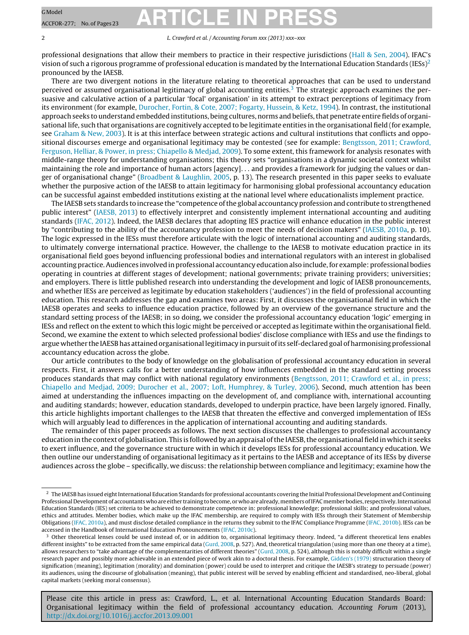## G Model ARTICLE **IN PRESS**

#### 2 L. Crawford et al. / Accounting Forum *xxx (2013) xxx–xxx*

professional designations that allow their members to practice in their respective jurisdictions ([Hall](#page--1-0) [&](#page--1-0) [Sen,](#page--1-0) [2004\).](#page--1-0) IFAC's vision of such a rigorous programme of professional education is mandated by the International Education Standards (IESs)<sup>2</sup> pronounced by the IAESB.

There are two divergent notions in the literature relating to theoretical approaches that can be used to understand perceived or assumed organisational legitimacy of global accounting entities.<sup>3</sup> The strategic approach examines the persuasive and calculative action of a particular 'focal' organisation' in its attempt to extract perceptions of legitimacy from its environment (for example, [Durocher,](#page--1-0) [Fortin,](#page--1-0) [&](#page--1-0) [Cote,](#page--1-0) [2007;](#page--1-0) [Fogarty,](#page--1-0) [Hussein,](#page--1-0) [&](#page--1-0) [Ketz,](#page--1-0) [1994\).](#page--1-0) In contrast, the institutional approach seeks to understand embedded institutions, being cultures, norms and beliefs, that penetrate entire fields of organisational life, such that organisations are cognitively accepted to be legitimate entities in the organisational field (for example, see [Graham](#page--1-0) [&](#page--1-0) [New,](#page--1-0) [2003\).](#page--1-0) It is at this interface between strategic actions and cultural institutions that conflicts and oppositional discourses emerge and organisational legitimacy may be contested (see for example: [Bengtsson,](#page--1-0) [2011;](#page--1-0) [Crawford,](#page--1-0) [Ferguson,](#page--1-0) [Helliar,](#page--1-0) [&](#page--1-0) [Power,](#page--1-0) [in](#page--1-0) [press;](#page--1-0) [Chiapello](#page--1-0) [&](#page--1-0) [Medjad,](#page--1-0) [2009\).](#page--1-0) To some extent, this framework for analysis resonates with middle-range theory for understanding organisations; this theory sets "organisations in a dynamic societal context whilst maintaining the role and importance of human actors [agency]. . . and provides a framework for judging the values or danger of organisational change" [\(Broadbent](#page--1-0) [&](#page--1-0) [Laughlin,](#page--1-0) [2005,](#page--1-0) p. 13). The research presented in this paper seeks to evaluate whether the purposive action of the IAESB to attain legitimacy for harmonising global professional accountancy education can be successful against embedded institutions existing at the national level where educationalists implement practice.

The IAESB sets standards to increase the "competence ofthe global accountancy profession and contribute to strengthened public interest" ([IAESB,](#page--1-0) [2013\)](#page--1-0) to effectively interpret and consistently implement international accounting and auditing standards ([IFAC,](#page--1-0) [2012\).](#page--1-0) Indeed, the IAESB declares that adopting IES practice will enhance education in the public interest by "contributing to the ability of the accountancy profession to meet the needs of decision makers" [\(IAESB,](#page--1-0) [2010a,](#page--1-0) p. 10). The logic expressed in the IESs must therefore articulate with the logic of international accounting and auditing standards, to ultimately converge international practice. However, the challenge to the IAESB to motivate education practice in its organisational field goes beyond influencing professional bodies and international regulators with an interest in globalised accounting practice.Audiences involved in professional accountancy education also include,for example: professional bodies operating in countries at different stages of development; national governments; private training providers; universities; and employers. There is little published research into understanding the development and logic of IAESB pronouncements, and whether IESs are perceived as legitimate by education stakeholders ('audiences') in the field of professional accounting education. This research addresses the gap and examines two areas: First, it discusses the organisational field in which the IAESB operates and seeks to influence education practice, followed by an overview of the governance structure and the standard setting process of the IAESB; in so doing, we consider the professional accountancy education 'logic' emerging in IESs and reflect on the extent to which this logic might be perceived or accepted as legitimate within the organisational field. Second, we examine the extent to which selected professional bodies' disclose compliance with IESs and use the findings to argue whether the IAESB has attained organisational legitimacy in pursuit of its self-declared goal of harmonising professional accountancy education across the globe.

Our article contributes to the body of knowledge on the globalisation of professional accountancy education in several respects. First, it answers calls for a better understanding of how influences embedded in the standard setting process produces standards that may conflict with national regulatory environments ([Bengtsson,](#page--1-0) [2011;](#page--1-0) [Crawford](#page--1-0) et [al.,](#page--1-0) [in](#page--1-0) [press;](#page--1-0) [Chiapello](#page--1-0) [and](#page--1-0) [Medjad,](#page--1-0) [2009;](#page--1-0) [Durocher](#page--1-0) et [al.,](#page--1-0) [2007;](#page--1-0) [Loft,](#page--1-0) [Humphrey,](#page--1-0) [&](#page--1-0) [Turley,](#page--1-0) [2006\).](#page--1-0) Second, much attention has been aimed at understanding the influences impacting on the development of, and compliance with, international accounting and auditing standards; however, education standards, developed to underpin practice, have been largely ignored. Finally, this article highlights important challenges to the IAESB that threaten the effective and converged implementation of IESs which will arguably lead to differences in the application of international accounting and auditing standards.

The remainder of this paper proceeds as follows. The next section discusses the challenges to professional accountancy education in the context of globalisation. This is followed by an appraisal of the IAESB, the organisational field in which it seeks to exert influence, and the governance structure with in which it develops IESs for professional accountancy education. We then outline our understanding of organisational legitimacy as it pertains to the IAESB and acceptance of its IESs by diverse audiences across the globe – specifically, we discuss: the relationship between compliance and legitimacy; examine how the

Please cite this article in press as: Crawford, L., et al. International Accounting Education Standards Board: Organisational legitimacy within the field of professional accountancy education. Accounting Forum (2013), [http://dx.doi.org/10.1016/j.accfor.2013.09.001](dx.doi.org/10.1016/j.accfor.2013.09.001)

 $^2$  The IAESB has issued eight International Education Standards for professional accountants covering the Initial Professional Development and Continuing Professional Development of accountants who are either training to become, or who are already, members of IFAC member bodies, respectively. International Education Standards (IES) set criteria to be achieved to demonstrate competence in: professional knowledge; professional skills; and professional values, ethics and attitudes. Member bodies, which make up the IFAC membership, are required to comply with IESs through their Statement of Membership Obligations [\(IFAC,](#page--1-0) [2010a\),](#page--1-0) and must disclose detailed compliance in the returns they submit to the IFAC Compliance Programme ([IFAC,](#page--1-0) [2010b\).](#page--1-0) IESs can be accessed in the Handbook of International Education Pronouncements [\(IFAC,](#page--1-0) [2010c\).](#page--1-0)

 $3$  Other theoretical lenses could be used instead of, or in addition to, organisational legitimacy theory. Indeed, "a different theoretical lens enables different insights" to be extracted from the same empirical data [\(Gurd,](#page--1-0) [2008,](#page--1-0) p. 527). And, theoretical triangulation (using more than one theory at a time), allows researchers to "take advantage of the complementarities of different theories" [\(Gurd,](#page--1-0) [2008,](#page--1-0) p. 524), although this is notably difficult within a single research paper and possibly more achievable in an extended piece of work akin to a doctoral thesis. For example, [Gidden's](#page--1-0) [\(1979\)](#page--1-0) structuration theory of signification (meaning), legitimation (morality) and domination (power) could be used to interpret and critique the IAESB's strategy to persuade (power) its audiences, using the discourse of globalisation (meaning), that public interest will be served by enabling efficient and standardised, neo-liberal, global capital markets (seeking moral consensus).